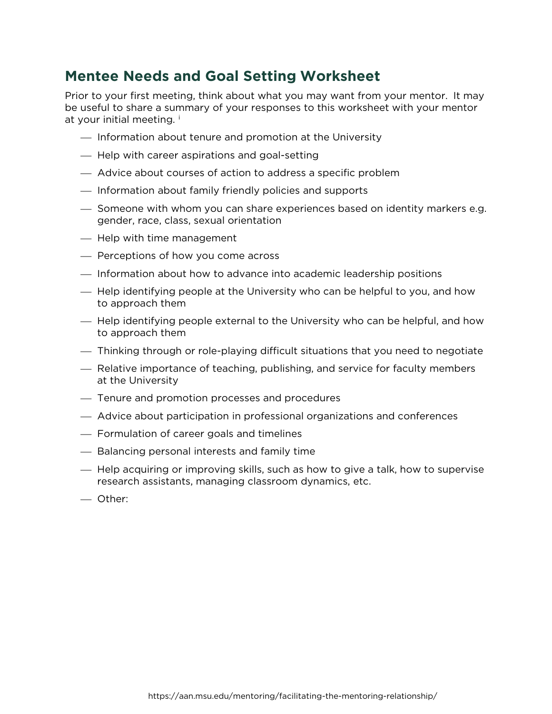## **Mentee Needs and Goal Setting Worksheet**

Prior to your first meeting, think about what you may want from your mentor. It may be useful to share a summary of your responses to this worksheet with your mentor at your [i](#page-1-0)nitial meeting.<sup>i</sup>

- $-$  Information about tenure and promotion at the University
- Help with career aspirations and goal-setting
- Advice about courses of action to address a specific problem
- $-$  Information about family friendly policies and supports
- $-$  Someone with whom you can share experiences based on identity markers e.g. gender, race, class, sexual orientation
- Help with time management
- $-$  Perceptions of how you come across
- $\overline{\phantom{a}}$  Information about how to advance into academic leadership positions
- Help identifying people at the University who can be helpful to you, and how to approach them
- $-$  Help identifying people external to the University who can be helpful, and how to approach them
- Thinking through or role-playing difficult situations that you need to negotiate
- Relative importance of teaching, publishing, and service for faculty members at the University
- Tenure and promotion processes and procedures
- Advice about participation in professional organizations and conferences
- Formulation of career goals and timelines
- $-$  Balancing personal interests and family time
- Help acquiring or improving skills, such as how to give a talk, how to supervise research assistants, managing classroom dynamics, etc.
- Other: